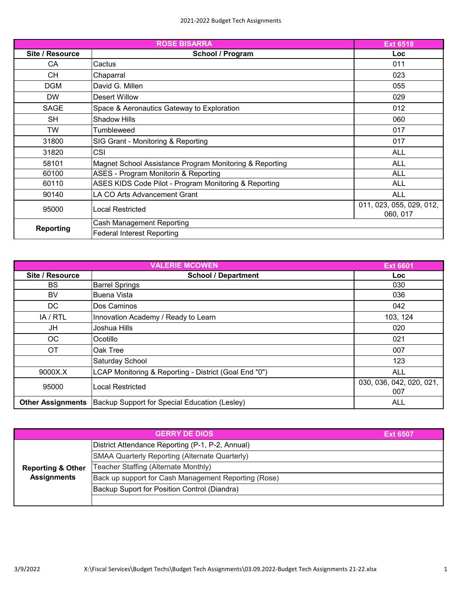|                  | <b>Ext 6518</b>                                         |                                      |
|------------------|---------------------------------------------------------|--------------------------------------|
| Site / Resource  | School / Program                                        | Loc                                  |
| CA               | Cactus                                                  | 011                                  |
| СH               | Chaparral                                               | 023                                  |
| <b>DGM</b>       | David G. Millen                                         | 055                                  |
| <b>DW</b>        | Desert Willow                                           | 029                                  |
| <b>SAGE</b>      | Space & Aeronautics Gateway to Exploration              | 012                                  |
| <b>SH</b>        | <b>Shadow Hills</b>                                     | 060                                  |
| TW               | Tumbleweed                                              | 017                                  |
| 31800            | SIG Grant - Monitoring & Reporting                      | 017                                  |
| 31820            | <b>CSI</b>                                              | <b>ALL</b>                           |
| 58101            | Magnet School Assistance Program Monitoring & Reporting | <b>ALL</b>                           |
| 60100            | ASES - Program Monitorin & Reporting                    | <b>ALL</b>                           |
| 60110            | ASES KIDS Code Pilot - Program Monitoring & Reporting   | <b>ALL</b>                           |
| 90140            | LA CO Arts Advancement Grant                            | <b>ALL</b>                           |
| 95000            | Local Restricted                                        | 011, 023, 055, 029, 012,<br>060, 017 |
| <b>Reporting</b> | Cash Management Reporting                               |                                      |
|                  | <b>Federal Interest Reporting</b>                       |                                      |

| <b>VALERIE MCOWEN</b><br><b>Ext 6601</b> |                                                       |                                 |
|------------------------------------------|-------------------------------------------------------|---------------------------------|
| Site / Resource                          | <b>School / Department</b>                            | <b>Loc</b>                      |
| <b>BS</b>                                | <b>Barrel Springs</b>                                 | 030                             |
| BV                                       | Buena Vista                                           | 036                             |
| DC.                                      | Dos Caminos                                           | 042                             |
| IA / RTL                                 | Innovation Academy / Ready to Learn                   | 103, 124                        |
| JH                                       | Joshua Hills                                          | 020                             |
| ОC                                       | Ocotillo                                              | 021                             |
| ОT                                       | Oak Tree                                              | 007                             |
|                                          | Saturday School                                       | 123                             |
| 9000X.X                                  | LCAP Monitoring & Reporting - District (Goal End "0") | <b>ALL</b>                      |
| 95000                                    | Local Restricted                                      | 030, 036, 042, 020, 021,<br>007 |
| <b>Other Assignments</b>                 | Backup Support for Special Education (Lesley)         | <b>ALL</b>                      |

|                              | <b>GERRY DE DIOS</b>                                 | <b>Ext 6507</b> |
|------------------------------|------------------------------------------------------|-----------------|
|                              | District Attendance Reporting (P-1, P-2, Annual)     |                 |
|                              | SMAA Quarterly Reporting (Alternate Quarterly)       |                 |
| <b>Reporting &amp; Other</b> | Teacher Staffing (Alternate Monthly)                 |                 |
| <b>Assignments</b>           | Back up support for Cash Management Reporting (Rose) |                 |
|                              | Backup Suport for Position Control (Diandra)         |                 |
|                              |                                                      |                 |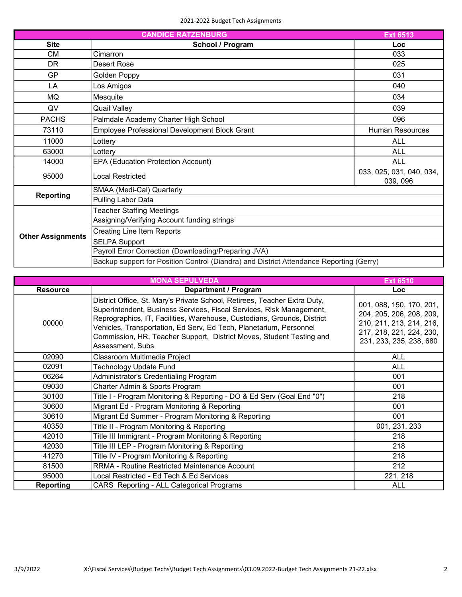| <b>CANDICE RATZENBURG</b><br><b>Ext 6513</b> |                                                                                         |                                      |
|----------------------------------------------|-----------------------------------------------------------------------------------------|--------------------------------------|
| <b>Site</b>                                  | School / Program                                                                        | Loc                                  |
| СM                                           | Cimarron                                                                                | 033                                  |
| <b>DR</b>                                    | Desert Rose                                                                             | 025                                  |
| <b>GP</b>                                    | Golden Poppy                                                                            | 031                                  |
| LA                                           | Los Amigos                                                                              | 040                                  |
| MQ                                           | Mesquite                                                                                | 034                                  |
| QV                                           | <b>Quail Valley</b>                                                                     | 039                                  |
| <b>PACHS</b>                                 | Palmdale Academy Charter High School                                                    | 096                                  |
| 73110                                        | Employee Professional Development Block Grant                                           | <b>Human Resources</b>               |
| 11000                                        | Lottery                                                                                 | <b>ALL</b>                           |
| 63000                                        | Lotterv                                                                                 | <b>ALL</b>                           |
| 14000                                        | <b>EPA (Education Protection Account)</b>                                               | <b>ALL</b>                           |
| 95000                                        | Local Restricted                                                                        | 033, 025, 031, 040, 034,<br>039, 096 |
| <b>Reporting</b>                             | SMAA (Medi-Cal) Quarterly                                                               |                                      |
|                                              | Pulling Labor Data                                                                      |                                      |
| <b>Other Assignments</b>                     | <b>Teacher Staffing Meetings</b>                                                        |                                      |
|                                              | Assigning/Verifying Account funding strings                                             |                                      |
|                                              | <b>Creating Line Item Reports</b>                                                       |                                      |
|                                              | <b>SELPA Support</b>                                                                    |                                      |
|                                              | Payroll Error Correction (Downloading/Preparing JVA)                                    |                                      |
|                                              | Backup support for Position Control (Diandra) and District Attendance Reporting (Gerry) |                                      |

| <b>MONA SEPULVEDA</b><br><b>Ext 6510</b> |                                                                                                                                                                                                                                                                                                                                                                                                |                                                                                                                                         |  |
|------------------------------------------|------------------------------------------------------------------------------------------------------------------------------------------------------------------------------------------------------------------------------------------------------------------------------------------------------------------------------------------------------------------------------------------------|-----------------------------------------------------------------------------------------------------------------------------------------|--|
| <b>Resource</b>                          | Department / Program                                                                                                                                                                                                                                                                                                                                                                           | <b>Loc</b>                                                                                                                              |  |
| 00000                                    | District Office, St. Mary's Private School, Retirees, Teacher Extra Duty,<br>Superintendent, Business Services, Fiscal Services, Risk Management,<br>Reprographics, IT, Facilities, Warehouse, Custodians, Grounds, District<br>Vehicles, Transportation, Ed Serv, Ed Tech, Planetarium, Personnel<br>Commission, HR, Teacher Support, District Moves, Student Testing and<br>Assessment, Subs | 001, 088, 150, 170, 201,<br>204, 205, 206, 208, 209,<br>210, 211, 213, 214, 216,<br>217, 218, 221, 224, 230,<br>231, 233, 235, 238, 680 |  |
| 02090                                    | Classroom Multimedia Project                                                                                                                                                                                                                                                                                                                                                                   | <b>ALL</b>                                                                                                                              |  |
| 02091                                    | Technology Update Fund                                                                                                                                                                                                                                                                                                                                                                         | <b>ALL</b>                                                                                                                              |  |
| 06264                                    | Administrator's Credentialing Program                                                                                                                                                                                                                                                                                                                                                          | 001                                                                                                                                     |  |
| 09030                                    | Charter Admin & Sports Program                                                                                                                                                                                                                                                                                                                                                                 | 001                                                                                                                                     |  |
| 30100                                    | Title I - Program Monitoring & Reporting - DO & Ed Serv (Goal End "0")                                                                                                                                                                                                                                                                                                                         | 218                                                                                                                                     |  |
| 30600                                    | Migrant Ed - Program Monitoring & Reporting                                                                                                                                                                                                                                                                                                                                                    | 001                                                                                                                                     |  |
| 30610                                    | Migrant Ed Summer - Program Monitoring & Reporting                                                                                                                                                                                                                                                                                                                                             | 001                                                                                                                                     |  |
| 40350                                    | Title II - Program Monitoring & Reporting                                                                                                                                                                                                                                                                                                                                                      | 001, 231, 233                                                                                                                           |  |
| 42010                                    | Title III Immigrant - Program Monitoring & Reporting                                                                                                                                                                                                                                                                                                                                           | 218                                                                                                                                     |  |
| 42030                                    | Title III LEP - Program Monitoring & Reporting                                                                                                                                                                                                                                                                                                                                                 | 218                                                                                                                                     |  |
| 41270                                    | Title IV - Program Monitoring & Reporting                                                                                                                                                                                                                                                                                                                                                      | 218                                                                                                                                     |  |
| 81500                                    | RRMA - Routine Restricted Maintenance Account                                                                                                                                                                                                                                                                                                                                                  | 212                                                                                                                                     |  |
| 95000                                    | Local Restricted - Ed Tech & Ed Services                                                                                                                                                                                                                                                                                                                                                       | 221, 218                                                                                                                                |  |
| <b>Reporting</b>                         | CARS Reporting - ALL Categorical Programs                                                                                                                                                                                                                                                                                                                                                      | <b>ALL</b>                                                                                                                              |  |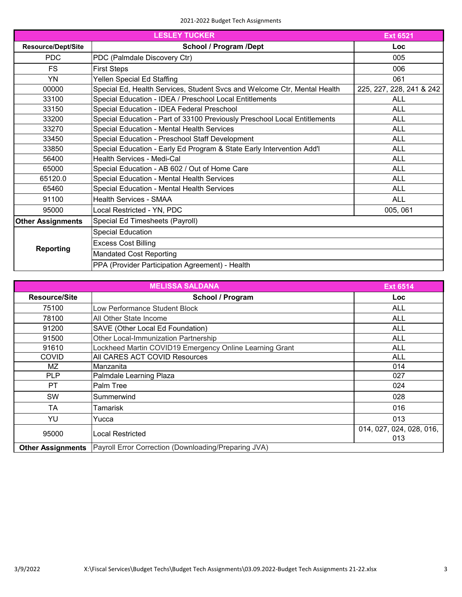## 2021-2022 Budget Tech Assignments

|                           | <b>LESLEY TUCKER</b>                                                      | <b>Ext 6521</b>          |
|---------------------------|---------------------------------------------------------------------------|--------------------------|
| <b>Resource/Dept/Site</b> | <b>School / Program /Dept</b>                                             | Loc                      |
| <b>PDC</b>                | PDC (Palmdale Discovery Ctr)                                              | 005                      |
| <b>FS</b>                 | <b>First Steps</b>                                                        | 006                      |
| <b>YN</b>                 | Yellen Special Ed Staffing                                                | 061                      |
| 00000                     | Special Ed, Health Services, Student Svcs and Welcome Ctr, Mental Health  | 225, 227, 228, 241 & 242 |
| 33100                     | Special Education - IDEA / Preschool Local Entitlements                   | <b>ALL</b>               |
| 33150                     | Special Education - IDEA Federal Preschool                                | <b>ALL</b>               |
| 33200                     | Special Education - Part of 33100 Previously Preschool Local Entitlements | <b>ALL</b>               |
| 33270                     | Special Education - Mental Health Services                                | <b>ALL</b>               |
| 33450                     | Special Education - Preschool Staff Development                           | <b>ALL</b>               |
| 33850                     | Special Education - Early Ed Program & State Early Intervention Add'l     | <b>ALL</b>               |
| 56400                     | Health Services - Medi-Cal                                                | <b>ALL</b>               |
| 65000                     | Special Education - AB 602 / Out of Home Care                             | <b>ALL</b>               |
| 65120.0                   | Special Education - Mental Health Services                                | <b>ALL</b>               |
| 65460                     | Special Education - Mental Health Services                                | <b>ALL</b>               |
| 91100                     | <b>Health Services - SMAA</b>                                             | <b>ALL</b>               |
| 95000                     | Local Restricted - YN, PDC                                                | 005, 061                 |
| <b>Other Assignments</b>  | Special Ed Timesheets (Payroll)                                           |                          |
| <b>Reporting</b>          | <b>Special Education</b>                                                  |                          |
|                           | <b>Excess Cost Billing</b>                                                |                          |
|                           | <b>Mandated Cost Reporting</b>                                            |                          |
|                           | PPA (Provider Participation Agreement) - Health                           |                          |

| <b>MELISSA SALDANA</b><br><b>Ext 6514</b> |                                                         |                                 |
|-------------------------------------------|---------------------------------------------------------|---------------------------------|
| <b>Resource/Site</b>                      | School / Program                                        | <b>Loc</b>                      |
| 75100                                     | Low Performance Student Block                           | <b>ALL</b>                      |
| 78100                                     | All Other State Income                                  | <b>ALL</b>                      |
| 91200                                     | SAVE (Other Local Ed Foundation)                        | <b>ALL</b>                      |
| 91500                                     | Other Local-Immunization Partnership                    | <b>ALL</b>                      |
| 91610                                     | Lockheed Martin COVID19 Emergency Online Learning Grant | <b>ALL</b>                      |
| <b>COVID</b>                              | All CARES ACT COVID Resources                           | <b>ALL</b>                      |
| MZ                                        | Manzanita                                               | 014                             |
| <b>PLP</b>                                | Palmdale Learning Plaza                                 | 027                             |
| PT.                                       | Palm Tree                                               | 024                             |
| <b>SW</b>                                 | Summerwind                                              | 028                             |
| TA                                        | Tamarisk                                                | 016                             |
| YU                                        | Yucca                                                   | 013                             |
| 95000                                     | Local Restricted                                        | 014, 027, 024, 028, 016,<br>013 |
| <b>Other Assignments</b>                  | Payroll Error Correction (Downloading/Preparing JVA)    |                                 |